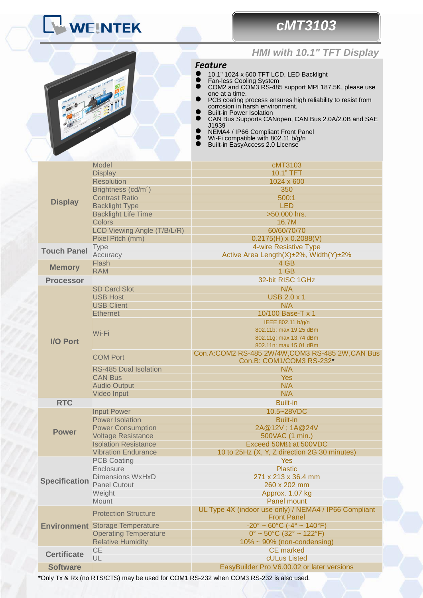# **WEINTEK**

## *cMT3103*



## *HMI with 10.1" TFT Display*

#### *Feature*

- <sup>10.1"</sup> 1024 x 600 TFT LCD, LED Backlight
- Fan-less Cooling System
- COM2 and COM3 RS-485 support MPI 187.5K, please use one at a time.
- PCB coating process ensures high reliability to resist from corrosion in harsh environment.
- Built-in Power Isolation
- CAN Bus Supports CANopen, CAN Bus 2.0A/2.0B and SAE J1939
- NEMA4 / IP66 Compliant Front Panel
- $\bullet$  Wi-Fi compatible with 802.11 b/g/n ● Built-in EasyAccess 2.0 License
- 

|                      | Model                                  | cMT3103                                               |  |  |
|----------------------|----------------------------------------|-------------------------------------------------------|--|--|
|                      | <b>Display</b>                         | 10.1" TFT                                             |  |  |
|                      | <b>Resolution</b>                      | 1024 x 600                                            |  |  |
|                      | Brightness (cd/m <sup>2</sup> )        | 350                                                   |  |  |
|                      | <b>Contrast Ratio</b>                  | 500:1                                                 |  |  |
| <b>Display</b>       | <b>Backlight Type</b>                  | <b>LED</b>                                            |  |  |
|                      | <b>Backlight Life Time</b>             | >50,000 hrs.                                          |  |  |
|                      | <b>Colors</b>                          | 16.7M                                                 |  |  |
|                      | LCD Viewing Angle (T/B/L/R)            | 60/60/70/70                                           |  |  |
|                      | Pixel Pitch (mm)                       | $0.2175(H) \times 0.2088(V)$                          |  |  |
|                      | <b>Type</b>                            | 4-wire Resistive Type                                 |  |  |
| <b>Touch Panel</b>   | Accuracy                               | Active Area Length(X)±2%, Width(Y)±2%                 |  |  |
|                      | Flash                                  | 4 GB                                                  |  |  |
| <b>Memory</b>        | <b>RAM</b>                             | 1 GB                                                  |  |  |
| <b>Processor</b>     |                                        | 32-bit RISC 1GHz                                      |  |  |
|                      | <b>SD Card Slot</b>                    | N/A                                                   |  |  |
|                      | <b>USB Host</b>                        | <b>USB 2.0 x 1</b>                                    |  |  |
|                      | <b>USB Client</b>                      | N/A                                                   |  |  |
|                      | <b>Ethernet</b>                        | 10/100 Base-T x 1                                     |  |  |
|                      |                                        | IEEE 802.11 b/g/n                                     |  |  |
|                      |                                        | 802.11b: max 19.25 dBm                                |  |  |
|                      | Wi-Fi                                  | 802.11g: max 13.74 dBm                                |  |  |
| <b>I/O Port</b>      |                                        | 802.11n: max 15.01 dBm                                |  |  |
|                      |                                        | Con.A:COM2 RS-485 2W/4W,COM3 RS-485 2W,CAN Bus        |  |  |
|                      | <b>COM Port</b>                        | Con.B: COM1/COM3 RS-232*                              |  |  |
|                      | <b>RS-485 Dual Isolation</b>           | N/A                                                   |  |  |
|                      | <b>CAN Bus</b>                         | <b>Yes</b>                                            |  |  |
|                      | <b>Audio Output</b>                    | N/A                                                   |  |  |
|                      | Video Input                            | N/A                                                   |  |  |
| <b>RTC</b>           |                                        | <b>Built-in</b>                                       |  |  |
|                      |                                        |                                                       |  |  |
|                      | <b>Input Power</b>                     | 10.5~28VDC                                            |  |  |
|                      | <b>Power Isolation</b>                 | <b>Built-in</b>                                       |  |  |
| <b>Power</b>         | <b>Power Consumption</b>               | 2A@12V; 1A@24V                                        |  |  |
|                      | <b>Voltage Resistance</b>              | 500VAC (1 min.)                                       |  |  |
|                      | <b>Isolation Resistance</b>            | Exceed $50M\Omega$ at $500VDC$                        |  |  |
|                      | <b>Vibration Endurance</b>             | 10 to 25Hz (X, Y, Z direction 2G 30 minutes)          |  |  |
|                      | <b>PCB Coating</b>                     | <b>Yes</b>                                            |  |  |
|                      | Enclosure                              | <b>Plastic</b>                                        |  |  |
| <b>Specification</b> | Dimensions WxHxD                       | 271 x 213 x 36.4 mm                                   |  |  |
|                      | <b>Panel Cutout</b>                    | 260 x 202 mm                                          |  |  |
|                      | Weight                                 | Approx. 1.07 kg                                       |  |  |
|                      | Mount                                  | Panel mount                                           |  |  |
|                      | <b>Protection Structure</b>            | UL Type 4X (indoor use only) / NEMA4 / IP66 Compliant |  |  |
|                      |                                        | <b>Front Panel</b>                                    |  |  |
|                      | <b>Environment</b> Storage Temperature | $-20^{\circ} \sim 60^{\circ}$ C (-4° ~ 140°F)         |  |  |
|                      | <b>Operating Temperature</b>           | $0^{\circ}$ ~ 50°C (32° ~ 122°F)                      |  |  |
|                      | <b>Relative Humidity</b>               | $10\% \sim 90\%$ (non-condensing)                     |  |  |
| <b>Certificate</b>   | <b>CE</b>                              | <b>CE</b> marked                                      |  |  |
|                      | UL                                     | cULus Listed                                          |  |  |
| <b>Software</b>      |                                        | EasyBuilder Pro V6.00.02 or later versions            |  |  |

**\***Only Tx & Rx (no RTS/CTS) may be used for COM1 RS-232 when COM3 RS-232 is also used.